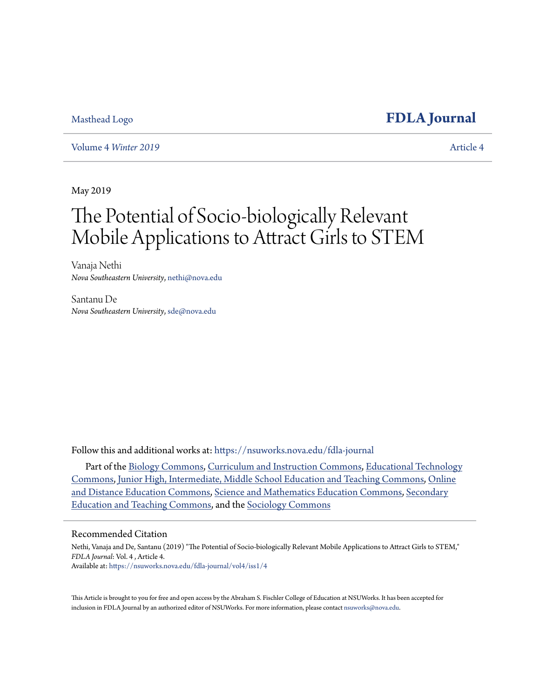### [Masthead Logo](http://nsuworks.nova.edu/?utm_source=nsuworks.nova.edu%2Ffdla-journal%2Fvol4%2Fiss1%2F4&utm_medium=PDF&utm_campaign=PDFCoverPages) **[FDLA Journal](https://nsuworks.nova.edu/fdla-journal?utm_source=nsuworks.nova.edu%2Ffdla-journal%2Fvol4%2Fiss1%2F4&utm_medium=PDF&utm_campaign=PDFCoverPages)**

Volume 4 *[Winter 2019](https://nsuworks.nova.edu/fdla-journal/vol4?utm_source=nsuworks.nova.edu%2Ffdla-journal%2Fvol4%2Fiss1%2F4&utm_medium=PDF&utm_campaign=PDFCoverPages)* [Article 4](https://nsuworks.nova.edu/fdla-journal/vol4/iss1/4?utm_source=nsuworks.nova.edu%2Ffdla-journal%2Fvol4%2Fiss1%2F4&utm_medium=PDF&utm_campaign=PDFCoverPages)

May 2019

# The Potential of Socio-biologically Relevant Mobile Applications to Attract Girls to STEM

Vanaja Nethi *Nova Southeastern University*, nethi@nova.edu

Santanu De *Nova Southeastern University*, sde@nova.edu

Follow this and additional works at: [https://nsuworks.nova.edu/fdla-journal](https://nsuworks.nova.edu/fdla-journal?utm_source=nsuworks.nova.edu%2Ffdla-journal%2Fvol4%2Fiss1%2F4&utm_medium=PDF&utm_campaign=PDFCoverPages)

Part of the [Biology Commons,](http://network.bepress.com/hgg/discipline/41?utm_source=nsuworks.nova.edu%2Ffdla-journal%2Fvol4%2Fiss1%2F4&utm_medium=PDF&utm_campaign=PDFCoverPages) [Curriculum and Instruction Commons](http://network.bepress.com/hgg/discipline/786?utm_source=nsuworks.nova.edu%2Ffdla-journal%2Fvol4%2Fiss1%2F4&utm_medium=PDF&utm_campaign=PDFCoverPages), [Educational Technology](http://network.bepress.com/hgg/discipline/1415?utm_source=nsuworks.nova.edu%2Ffdla-journal%2Fvol4%2Fiss1%2F4&utm_medium=PDF&utm_campaign=PDFCoverPages) [Commons,](http://network.bepress.com/hgg/discipline/1415?utm_source=nsuworks.nova.edu%2Ffdla-journal%2Fvol4%2Fiss1%2F4&utm_medium=PDF&utm_campaign=PDFCoverPages) [Junior High, Intermediate, Middle School Education and Teaching Commons,](http://network.bepress.com/hgg/discipline/807?utm_source=nsuworks.nova.edu%2Ffdla-journal%2Fvol4%2Fiss1%2F4&utm_medium=PDF&utm_campaign=PDFCoverPages) [Online](http://network.bepress.com/hgg/discipline/1296?utm_source=nsuworks.nova.edu%2Ffdla-journal%2Fvol4%2Fiss1%2F4&utm_medium=PDF&utm_campaign=PDFCoverPages) [and Distance Education Commons](http://network.bepress.com/hgg/discipline/1296?utm_source=nsuworks.nova.edu%2Ffdla-journal%2Fvol4%2Fiss1%2F4&utm_medium=PDF&utm_campaign=PDFCoverPages), [Science and Mathematics Education Commons,](http://network.bepress.com/hgg/discipline/800?utm_source=nsuworks.nova.edu%2Ffdla-journal%2Fvol4%2Fiss1%2F4&utm_medium=PDF&utm_campaign=PDFCoverPages) [Secondary](http://network.bepress.com/hgg/discipline/809?utm_source=nsuworks.nova.edu%2Ffdla-journal%2Fvol4%2Fiss1%2F4&utm_medium=PDF&utm_campaign=PDFCoverPages) [Education and Teaching Commons,](http://network.bepress.com/hgg/discipline/809?utm_source=nsuworks.nova.edu%2Ffdla-journal%2Fvol4%2Fiss1%2F4&utm_medium=PDF&utm_campaign=PDFCoverPages) and the [Sociology Commons](http://network.bepress.com/hgg/discipline/416?utm_source=nsuworks.nova.edu%2Ffdla-journal%2Fvol4%2Fiss1%2F4&utm_medium=PDF&utm_campaign=PDFCoverPages)

#### Recommended Citation

Nethi, Vanaja and De, Santanu (2019) "The Potential of Socio-biologically Relevant Mobile Applications to Attract Girls to STEM," *FDLA Journal*: Vol. 4 , Article 4. Available at: [https://nsuworks.nova.edu/fdla-journal/vol4/iss1/4](https://nsuworks.nova.edu/fdla-journal/vol4/iss1/4?utm_source=nsuworks.nova.edu%2Ffdla-journal%2Fvol4%2Fiss1%2F4&utm_medium=PDF&utm_campaign=PDFCoverPages)

This Article is brought to you for free and open access by the Abraham S. Fischler College of Education at NSUWorks. It has been accepted for inclusion in FDLA Journal by an authorized editor of NSUWorks. For more information, please contact [nsuworks@nova.edu.](mailto:nsuworks@nova.edu)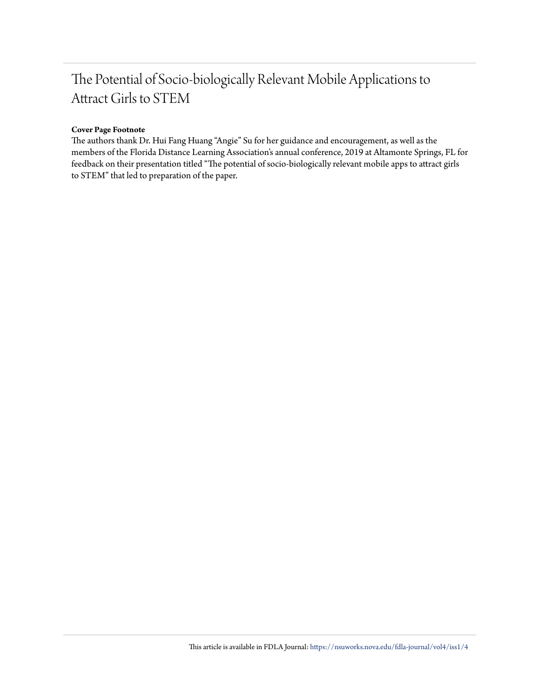## The Potential of Socio-biologically Relevant Mobile Applications to Attract Girls to STEM

#### **Cover Page Footnote**

The authors thank Dr. Hui Fang Huang "Angie" Su for her guidance and encouragement, as well as the members of the Florida Distance Learning Association's annual conference, 2019 at Altamonte Springs, FL for feedback on their presentation titled "The potential of socio-biologically relevant mobile apps to attract girls to STEM" that led to preparation of the paper.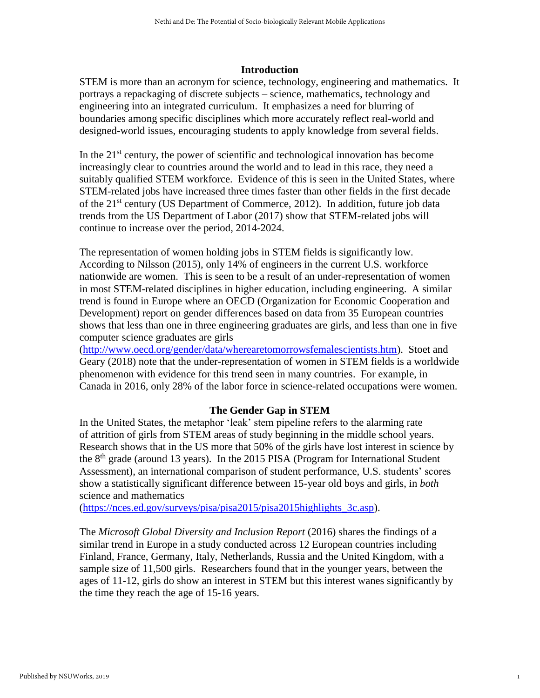#### **Introduction**

STEM is more than an acronym for science, technology, engineering and mathematics. It portrays a repackaging of discrete subjects – science, mathematics, technology and engineering into an integrated curriculum. It emphasizes a need for blurring of boundaries among specific disciplines which more accurately reflect real-world and designed-world issues, encouraging students to apply knowledge from several fields.

In the  $21<sup>st</sup>$  century, the power of scientific and technological innovation has become increasingly clear to countries around the world and to lead in this race, they need a suitably qualified STEM workforce. Evidence of this is seen in the United States, where STEM-related jobs have increased three times faster than other fields in the first decade of the  $21<sup>st</sup>$  century (US Department of Commerce, 2012). In addition, future job data trends from the US Department of Labor (2017) show that STEM-related jobs will continue to increase over the period, 2014-2024.

The representation of women holding jobs in STEM fields is significantly low. According to Nilsson (2015), only 14% of engineers in the current U.S. workforce nationwide are women. This is seen to be a result of an under-representation of women in most STEM-related disciplines in higher education, including engineering. A similar trend is found in Europe where an OECD (Organization for Economic Cooperation and Development) report on gender differences based on data from 35 European countries shows that less than one in three engineering graduates are girls, and less than one in five computer science graduates are girls

[\(http://www.oecd.org/gender/data/wherearetomorrowsfemalescientists.htm\)](http://www.oecd.org/gender/data/wherearetomorrowsfemalescientists.htm). Stoet and Geary (2018) note that the under-representation of women in STEM fields is a worldwide phenomenon with evidence for this trend seen in many countries. For example, in Canada in 2016, only 28% of the labor force in science-related occupations were women.

#### **The Gender Gap in STEM**

In the United States, the metaphor 'leak' stem pipeline refers to the alarming rate of attrition of girls from STEM areas of study beginning in the middle school years. Research shows that in the US more that 50% of the girls have lost interest in science by the  $8<sup>th</sup>$  grade (around 13 years). In the 2015 PISA (Program for International Student Assessment), an international comparison of student performance, U.S. students' scores show a statistically significant difference between 15-year old boys and girls, in *both* science and mathematics

[\(https://nces.ed.gov/surveys/pisa/pisa2015/pisa2015highlights\\_3c.asp\)](https://nces.ed.gov/surveys/pisa/pisa2015/pisa2015highlights_3c.asp).

The *Microsoft Global Diversity and Inclusion Report* (2016) shares the findings of a similar trend in Europe in a study conducted across 12 European countries including Finland, France, Germany, Italy, Netherlands, Russia and the United Kingdom, with a sample size of 11,500 girls. Researchers found that in the younger years, between the ages of 11-12, girls do show an interest in STEM but this interest wanes significantly by the time they reach the age of 15-16 years.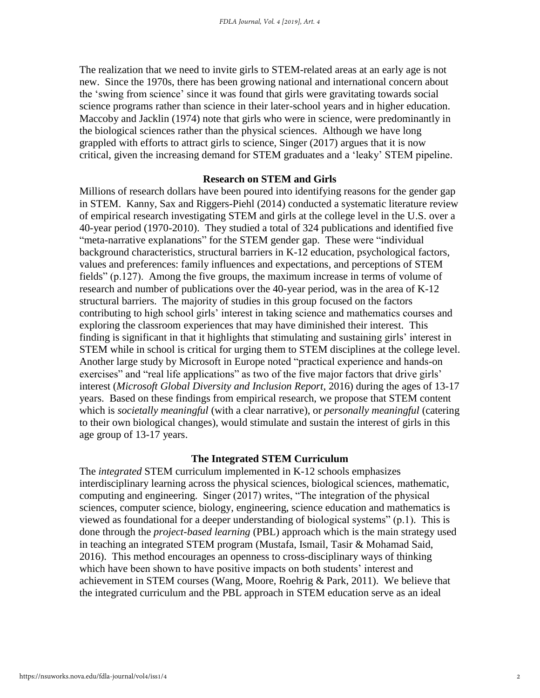The realization that we need to invite girls to STEM-related areas at an early age is not new. Since the 1970s, there has been growing national and international concern about the 'swing from science' since it was found that girls were gravitating towards social science programs rather than science in their later-school years and in higher education. Maccoby and Jacklin (1974) note that girls who were in science, were predominantly in the biological sciences rather than the physical sciences. Although we have long grappled with efforts to attract girls to science, Singer (2017) argues that it is now critical, given the increasing demand for STEM graduates and a 'leaky' STEM pipeline.

#### **Research on STEM and Girls**

Millions of research dollars have been poured into identifying reasons for the gender gap in STEM. Kanny, Sax and Riggers-Piehl (2014) conducted a systematic literature review of empirical research investigating STEM and girls at the college level in the U.S. over a 40-year period (1970-2010). They studied a total of 324 publications and identified five "meta-narrative explanations" for the STEM gender gap. These were "individual background characteristics, structural barriers in K-12 education, psychological factors, values and preferences: family influences and expectations, and perceptions of STEM fields" (p.127). Among the five groups, the maximum increase in terms of volume of research and number of publications over the 40-year period, was in the area of K-12 structural barriers. The majority of studies in this group focused on the factors contributing to high school girls' interest in taking science and mathematics courses and exploring the classroom experiences that may have diminished their interest*.* This finding is significant in that it highlights that stimulating and sustaining girls' interest in STEM while in school is critical for urging them to STEM disciplines at the college level. Another large study by Microsoft in Europe noted "practical experience and hands-on exercises" and "real life applications" as two of the five major factors that drive girls' interest (*Microsoft Global Diversity and Inclusion Report*, 2016) during the ages of 13-17 years. Based on these findings from empirical research, we propose that STEM content which is *societally meaningful* (with a clear narrative), or *personally meaningful* (catering to their own biological changes), would stimulate and sustain the interest of girls in this age group of 13-17 years.

#### **The Integrated STEM Curriculum**

The *integrated* STEM curriculum implemented in K-12 schools emphasizes interdisciplinary learning across the physical sciences, biological sciences, mathematic, computing and engineering. Singer (2017) writes, "The integration of the physical sciences, computer science, biology, engineering, science education and mathematics is viewed as foundational for a deeper understanding of biological systems" (p.1). This is done through the *project-based learning* (PBL) approach which is the main strategy used in teaching an integrated STEM program (Mustafa, Ismail, Tasir & Mohamad Said, 2016). This method encourages an openness to cross-disciplinary ways of thinking which have been shown to have positive impacts on both students' interest and achievement in STEM courses (Wang, Moore, Roehrig & Park, 2011). We believe that the integrated curriculum and the PBL approach in STEM education serve as an ideal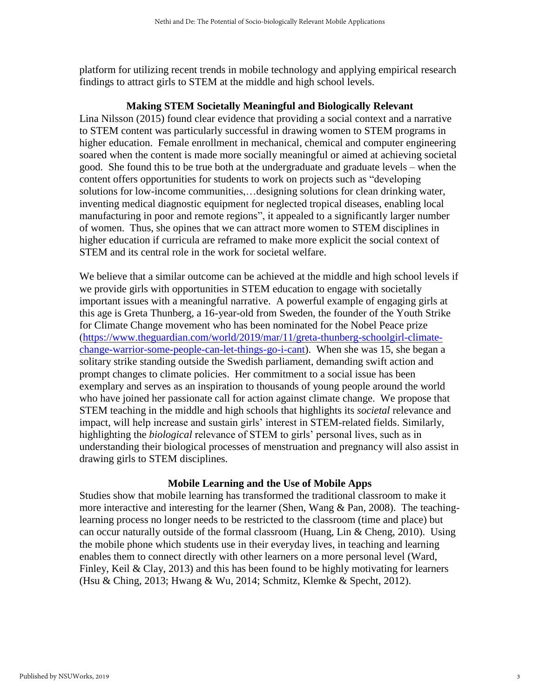platform for utilizing recent trends in mobile technology and applying empirical research findings to attract girls to STEM at the middle and high school levels.

#### **Making STEM Societally Meaningful and Biologically Relevant**

Lina Nilsson (2015) found clear evidence that providing a social context and a narrative to STEM content was particularly successful in drawing women to STEM programs in higher education. Female enrollment in mechanical, chemical and computer engineering soared when the content is made more socially meaningful or aimed at achieving societal good. She found this to be true both at the undergraduate and graduate levels – when the content offers opportunities for students to work on projects such as "developing solutions for low-income communities,…designing solutions for clean drinking water, inventing medical diagnostic equipment for neglected tropical diseases, enabling local manufacturing in poor and remote regions", it appealed to a significantly larger number of women. Thus, she opines that we can attract more women to STEM disciplines in higher education if curricula are reframed to make more explicit the social context of STEM and its central role in the work for societal welfare.

We believe that a similar outcome can be achieved at the middle and high school levels if we provide girls with opportunities in STEM education to engage with societally important issues with a meaningful narrative. A powerful example of engaging girls at this age is Greta Thunberg, a 16-year-old from Sweden, the founder of the Youth Strike for Climate Change movement who has been nominated for the Nobel Peace prize ([https://www.theguardian.com/world/2019/mar/11/greta-thunberg-schoolgirl-climate](https://www.theguardian.com/world/2019/mar/11/greta-thunberg-schoolgirl-climate-change-warrior-some-people-can-let-things-go-i-cant))[change-warrior-some-people-can-let-things-go-i-cant\)](https://www.theguardian.com/world/2019/mar/11/greta-thunberg-schoolgirl-climate-change-warrior-some-people-can-let-things-go-i-cant)). When she was 15, she began a solitary strike standing outside the Swedish parliament, demanding swift action and prompt changes to climate policies. Her commitment to a social issue has been exemplary and serves as an inspiration to thousands of young people around the world who have joined her passionate call for action against climate change. We propose that STEM teaching in the middle and high schools that highlights its *societal* relevance and impact, will help increase and sustain girls' interest in STEM-related fields. Similarly, highlighting the *biological* relevance of STEM to girls' personal lives, such as in understanding their biological processes of menstruation and pregnancy will also assist in drawing girls to STEM disciplines.

#### **Mobile Learning and the Use of Mobile Apps**

Studies show that mobile learning has transformed the traditional classroom to make it more interactive and interesting for the learner (Shen, Wang & Pan, 2008). The teachinglearning process no longer needs to be restricted to the classroom (time and place) but can occur naturally outside of the formal classroom (Huang, Lin & Cheng, 2010). Using the mobile phone which students use in their everyday lives, in teaching and learning enables them to connect directly with other learners on a more personal level (Ward, Finley, Keil & Clay, 2013) and this has been found to be highly motivating for learners (Hsu & Ching, 2013; Hwang & Wu, 2014; Schmitz, Klemke & Specht, 2012).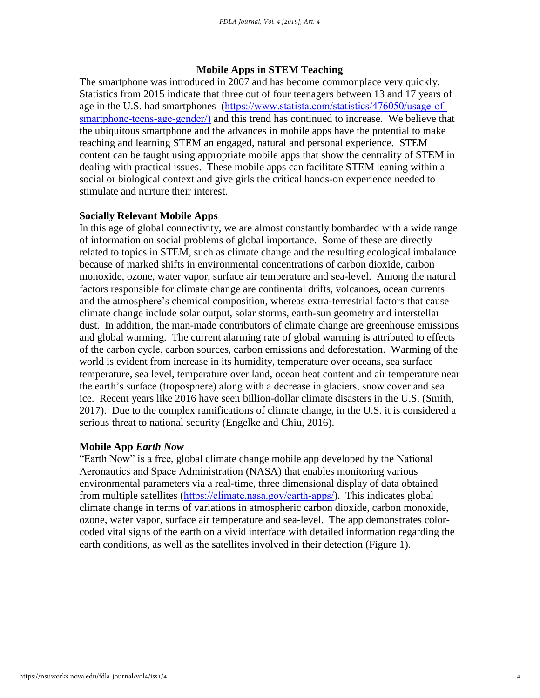#### **Mobile Apps in STEM Teaching**

The smartphone was introduced in 2007 and has become commonplace very quickly. Statistics from 2015 indicate that three out of four teenagers between 13 and 17 years of age in the U.S. had smartphones ([https://www.statista.com/statistics/476050/usage-of](https://www.statista.com/statistics/476050/usage-of-smartphone-teens-age-gender/))[smartphone-teens-age-gender/](https://www.statista.com/statistics/476050/usage-of-smartphone-teens-age-gender/))) and this trend has continued to increase. We believe that the ubiquitous smartphone and the advances in mobile apps have the potential to make teaching and learning STEM an engaged, natural and personal experience. STEM content can be taught using appropriate mobile apps that show the centrality of STEM in dealing with practical issues. These mobile apps can facilitate STEM leaning within a social or biological context and give girls the critical hands-on experience needed to stimulate and nurture their interest.

#### **Socially Relevant Mobile Apps**

In this age of global connectivity, we are almost constantly bombarded with a wide range of information on social problems of global importance. Some of these are directly related to topics in STEM, such as climate change and the resulting ecological imbalance because of marked shifts in environmental concentrations of carbon dioxide, carbon monoxide, ozone, water vapor, surface air temperature and sea-level. Among the natural factors responsible for climate change are continental drifts, volcanoes, ocean currents and the atmosphere's chemical composition, whereas extra-terrestrial factors that cause climate change include solar output, solar storms, earth-sun geometry and interstellar dust. In addition, the man-made contributors of climate change are greenhouse emissions and global warming. The current alarming rate of global warming is attributed to effects of the carbon cycle, carbon sources, carbon emissions and deforestation. Warming of the world is evident from increase in its humidity, temperature over oceans, sea surface temperature, sea level, temperature over land, ocean heat content and air temperature near the earth's surface (troposphere) along with a decrease in glaciers, snow cover and sea ice. Recent years like 2016 have seen billion-dollar climate disasters in the U.S. (Smith, 2017). Due to the complex ramifications of climate change, in the U.S. it is considered a serious threat to national security (Engelke and Chiu, 2016).

#### **Mobile App** *Earth Now*

"Earth Now" is a free, global climate change mobile app developed by the National Aeronautics and Space Administration (NASA) that enables monitoring various environmental parameters via a real-time, three dimensional display of data obtained from multiple satellites (<https://climate.nasa.gov/earth-apps/>). This indicates global climate change in terms of variations in atmospheric carbon dioxide, carbon monoxide, ozone, water vapor, surface air temperature and sea-level. The app demonstrates colorcoded vital signs of the earth on a vivid interface with detailed information regarding the earth conditions, as well as the satellites involved in their detection (Figure 1).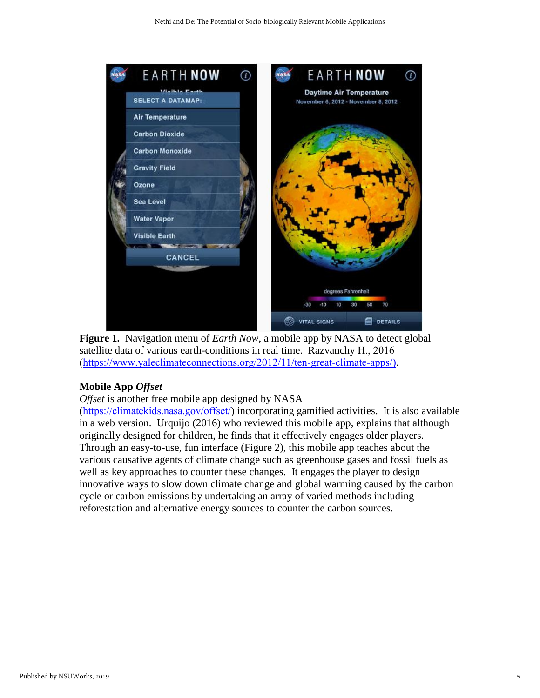

**Figure 1.** Navigation menu of *Earth Now*, a mobile app by NASA to detect global satellite data of various earth-conditions in real time. Razvanchy H., 2016 [\(https://www.yaleclimateconnections.org/2012/11/ten-great-climate-apps/](https://www.yaleclimateconnections.org/2012/11/ten-great-climate-apps/))).

#### **Mobile App** *Offset*

*Offset* is another free mobile app designed by NASA

(<https://climatekids.nasa.gov/offset/>) incorporating gamified activities. It is also available in a web version. Urquijo (2016) who reviewed this mobile app, explains that although originally designed for children, he finds that it effectively engages older players. Through an easy-to-use, fun interface (Figure 2), this mobile app teaches about the various causative agents of climate change such as greenhouse gases and fossil fuels as well as key approaches to counter these changes. It engages the player to design innovative ways to slow down climate change and global warming caused by the carbon cycle or carbon emissions by undertaking an array of varied methods including reforestation and alternative energy sources to counter the carbon sources.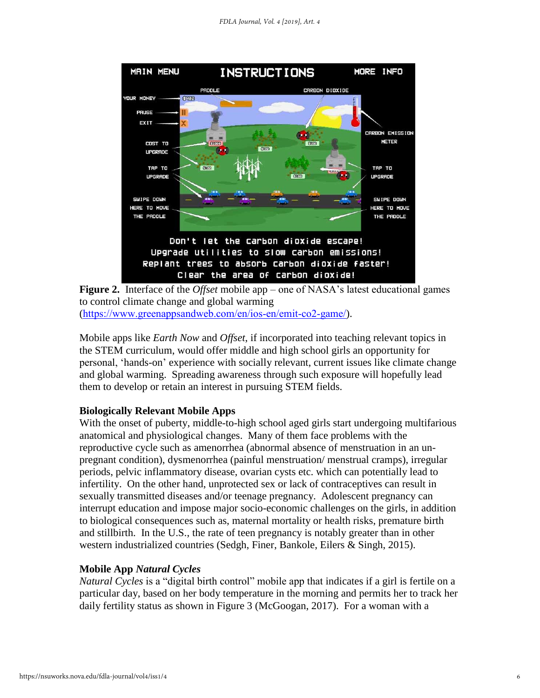

**Figure 2.** Interface of the *Offset* mobile app – one of NASA's latest educational games to control climate change and global warming (<https://www.greenappsandweb.com/en/ios-en/emit-co2-game/>).

Mobile apps like *Earth Now* and *Offset*, if incorporated into teaching relevant topics in the STEM curriculum, would offer middle and high school girls an opportunity for personal, 'hands-on' experience with socially relevant, current issues like climate change and global warming. Spreading awareness through such exposure will hopefully lead them to develop or retain an interest in pursuing STEM fields.

#### **Biologically Relevant Mobile Apps**

With the onset of puberty, middle-to-high school aged girls start undergoing multifarious anatomical and physiological changes. Many of them face problems with the reproductive cycle such as amenorrhea (abnormal absence of menstruation in an unpregnant condition), dysmenorrhea (painful menstruation/ menstrual cramps), irregular periods, pelvic inflammatory disease, ovarian cysts etc. which can potentially lead to infertility. On the other hand, unprotected sex or lack of contraceptives can result in sexually transmitted diseases and/or teenage pregnancy. Adolescent pregnancy can interrupt education and impose major socio-economic challenges on the girls, in addition to biological consequences such as, maternal mortality or health risks, premature birth and stillbirth. In the U.S., the rate of teen pregnancy is notably greater than in other western industrialized countries (Sedgh, Finer, Bankole, Eilers & Singh, 2015).

#### **Mobile App** *Natural Cycles*

*Natural Cycles* is a "digital birth control" mobile app that indicates if a girl is fertile on a particular day, based on her body temperature in the morning and permits her to track her daily fertility status as shown in Figure 3 (McGoogan, 2017). For a woman with a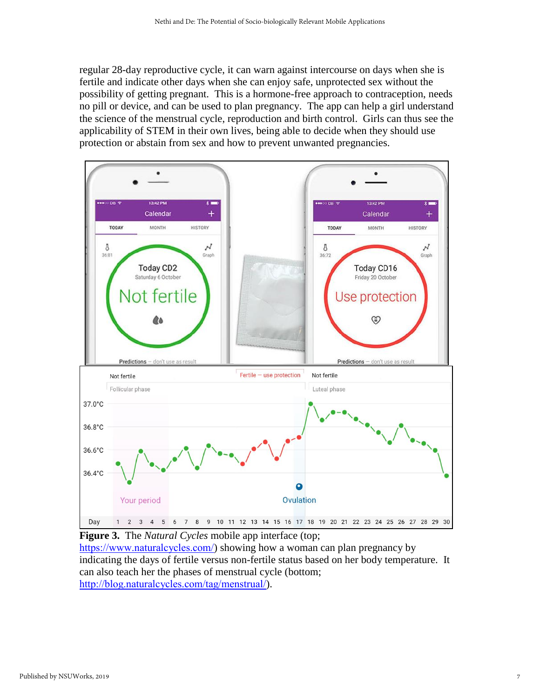regular 28-day reproductive cycle, it can warn against intercourse on days when she is fertile and indicate other days when she can enjoy safe, unprotected sex without the possibility of getting pregnant. This is a hormone-free approach to contraception, needs no pill or device, and can be used to plan pregnancy. The app can help a girl understand the science of the menstrual cycle, reproduction and birth control. Girls can thus see the applicability of STEM in their own lives, being able to decide when they should use protection or abstain from sex and how to prevent unwanted pregnancies.



**Figure 3.** The *Natural Cycles* mobile app interface (top; <https://www.naturalcycles.com/>) showing how a woman can plan pregnancy by indicating the days of fertile versus non-fertile status based on her body temperature.It can also teach her the phases of menstrual cycle (bottom; <http://blog.naturalcycles.com/tag/menstrual/>).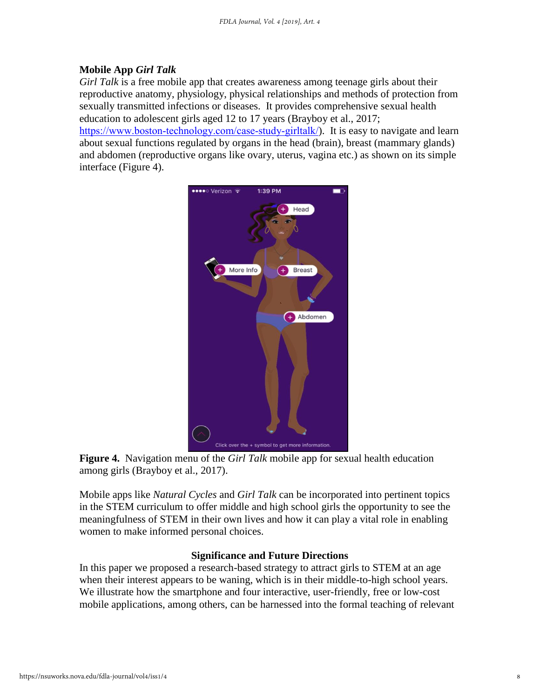#### **Mobile App** *Girl Talk*

*Girl Talk* is a free mobile app that creates awareness among teenage girls about their reproductive anatomy, physiology, physical relationships and methods of protection from sexually transmitted infections or diseases. It provides comprehensive sexual health education to adolescent girls aged 12 to 17 years (Brayboy et al., 2017; <https://www.boston-technology.com/case-study-girltalk/>). It is easy to navigate and learn about sexual functions regulated by organs in the head (brain), breast (mammary glands) and abdomen (reproductive organs like ovary, uterus, vagina etc.) as shown on its simple interface (Figure 4).





Mobile apps like *Natural Cycles* and *Girl Talk* can be incorporated into pertinent topics in the STEM curriculum to offer middle and high school girls the opportunity to see the meaningfulness of STEM in their own lives and how it can play a vital role in enabling women to make informed personal choices.

#### **Significance and Future Directions**

In this paper we proposed a research-based strategy to attract girls to STEM at an age when their interest appears to be waning, which is in their middle-to-high school years. We illustrate how the smartphone and four interactive, user-friendly, free or low-cost mobile applications, among others, can be harnessed into the formal teaching of relevant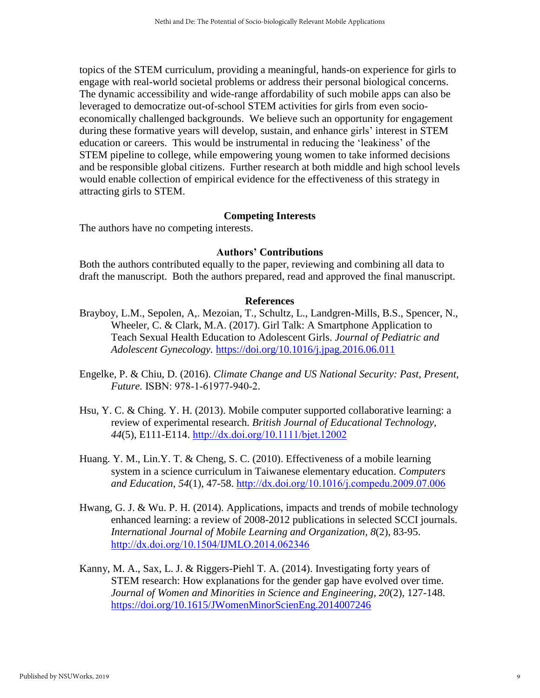topics of the STEM curriculum, providing a meaningful, hands-on experience for girls to engage with real-world societal problems or address their personal biological concerns. The dynamic accessibility and wide-range affordability of such mobile apps can also be leveraged to democratize out-of-school STEM activities for girls from even socioeconomically challenged backgrounds. We believe such an opportunity for engagement during these formative years will develop, sustain, and enhance girls' interest in STEM education or careers. This would be instrumental in reducing the 'leakiness' of the STEM pipeline to college, while empowering young women to take informed decisions and be responsible global citizens. Further research at both middle and high school levels would enable collection of empirical evidence for the effectiveness of this strategy in attracting girls to STEM.

#### **Competing Interests**

The authors have no competing interests.

#### **Authors' Contributions**

Both the authors contributed equally to the paper, reviewing and combining all data to draft the manuscript. Both the authors prepared, read and approved the final manuscript.

#### **References**

- Brayboy, L.M., Sepolen, A,. Mezoian, T., Schultz, L., Landgren-Mills, B.S., Spencer, N., Wheeler, C. & Clark, M.A. (2017). Girl Talk: A Smartphone Application to Teach Sexual Health Education to Adolescent Girls. *Journal of Pediatric and Adolescent Gynecology.* <https://doi.org/10.1016/j.jpag.2016.06.011>
- Engelke, P. & Chiu, D. (2016). *Climate Change and US National Security: Past, Present, Future.* ISBN: 978-1-61977-940-2.
- Hsu, Y. C. & Ching. Y. H. (2013). Mobile computer supported collaborative learning: a review of experimental research. *British Journal of Educational Technology, 44*(5), E111-E114. <http://dx.doi.org/10.1111/bjet.12002>
- Huang. Y. M., Lin.Y. T. & Cheng, S. C. (2010). Effectiveness of a mobile learning system in a science curriculum in Taiwanese elementary education. *Computers and Education, 54*(1), 47-58. <http://dx.doi.org/10.1016/j.compedu.2009.07.006>
- Hwang, G. J. & Wu. P. H. (2014). Applications, impacts and trends of mobile technology enhanced learning: a review of 2008-2012 publications in selected SCCI journals. *International Journal of Mobile Learning and Organization, 8*(2), 83-95. <http://dx.doi.org/10.1504/IJMLO.2014.062346>
- Kanny, M. A., Sax, L. J. & Riggers-Piehl T. A. (2014). Investigating forty years of STEM research: How explanations for the gender gap have evolved over time. *Journal of Women and Minorities in Science and Engineering, 20*(2), 127-148. <https://doi.org/10.1615/JWomenMinorScienEng.2014007246>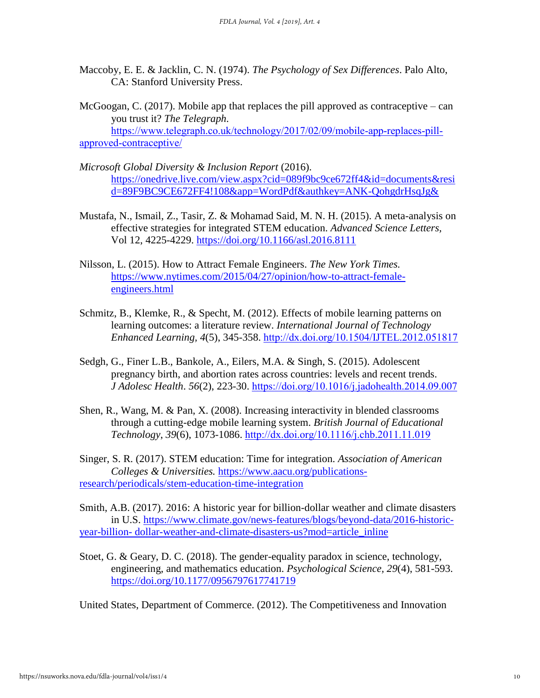- Maccoby, E. E. & Jacklin, C. N. (1974). *The Psychology of Sex Differences*. Palo Alto, CA: Stanford University Press.
- McGoogan, C. (2017). Mobile app that replaces the pill approved as contraceptive can you trust it? *The Telegraph*.

 [https://www.telegraph.co.uk/technology/2017/02/09/mobile-app-replaces-pill](https://www.telegraph.co.uk/technology/2017/02/09/mobile-app-replaces-pill-approved-contraceptive/)[approved-contraceptive/](https://www.telegraph.co.uk/technology/2017/02/09/mobile-app-replaces-pill-approved-contraceptive/)

- *Microsoft Global Diversity & Inclusion Report* (2016). [https://onedrive.live.com/view.aspx?cid=089f9bc9ce672ff4&id=documents&resi](https://onedrive.live.com/view.aspx?cid=089f9bc9ce672ff4&id=documents&resid=89F9BC9CE672FF4!108&app=WordPdf&authkey=ANK-QohgdrHsqJg&) [d=89F9BC9CE672FF4!108&app=WordPdf&authkey=ANK-QohgdrHsqJg&](https://onedrive.live.com/view.aspx?cid=089f9bc9ce672ff4&id=documents&resid=89F9BC9CE672FF4!108&app=WordPdf&authkey=ANK-QohgdrHsqJg&)
- Mustafa, N., Ismail, Z., Tasir, Z. & Mohamad Said, M. N. H. (2015). A meta-analysis on effective strategies for integrated STEM education. *Advanced Science Letters,* Vol 12, 4225-4229. <https://doi.org/10.1166/asl.2016.8111>
- Nilsson, L. (2015). How to Attract Female Engineers. *The New York Times.* [https://www.nytimes.com/2015/04/27/opinion/how-to-attract-female](https://www.nytimes.com/2015/04/27/opinion/how-to-attract-female-engineers.html)[engineers.html](https://www.nytimes.com/2015/04/27/opinion/how-to-attract-female-engineers.html)
- Schmitz, B., Klemke, R., & Specht, M. (2012). Effects of mobile learning patterns on learning outcomes: a literature review. *International Journal of Technology Enhanced Learning, 4*(5), 345-358. <http://dx.doi.org/10.1504/IJTEL.2012.051817>
- Sedgh, G., Finer L.B., Bankole, A., Eilers, M.A. & Singh, S. (2015). Adolescent pregnancy birth, and abortion rates across countries: levels and recent trends. *J Adolesc Health*. *56*(2), 223-30. <https://doi.org/10.1016/j.jadohealth.2014.09.007>
- Shen, R., Wang, M. & Pan, X. (2008). Increasing interactivity in blended classrooms through a cutting-edge mobile learning system. *British Journal of Educational Technology*, *39*(6), 1073-1086. <http://dx.doi.org/10.1116/j.chb.2011.11.019>

Singer, S. R. (2017). STEM education: Time for integration. *Association of American Colleges & Universities.* [https://www.aacu.org/publications](https://www.aacu.org/publications-research/periodicals/stem-education-time-integration)[research/periodicals/stem-education-time-integration](https://www.aacu.org/publications-research/periodicals/stem-education-time-integration)

Smith, A.B. (2017). 2016: A historic year for billion-dollar weather and climate disasters in U.S. [https://www.climate.gov/news-features/blogs/beyond-data/2016-historic](https://www.climate.gov/news-features/blogs/beyond-data/2016-historic-year-billion-%20dollar-weather-and-climate-disasters-us?mod=article_inline)year-billion- [dollar-weather-and-climate-disasters-us?mod=article\\_inline](https://www.climate.gov/news-features/blogs/beyond-data/2016-historic-year-billion-%20dollar-weather-and-climate-disasters-us?mod=article_inline)

Stoet, G. & Geary, D. C. (2018). The gender-equality paradox in science, technology, engineering, and mathematics education. *Psychological Science, 29*(4), 581-593. <https://doi.org/10.1177/0956797617741719>

United States, Department of Commerce. (2012). The Competitiveness and Innovation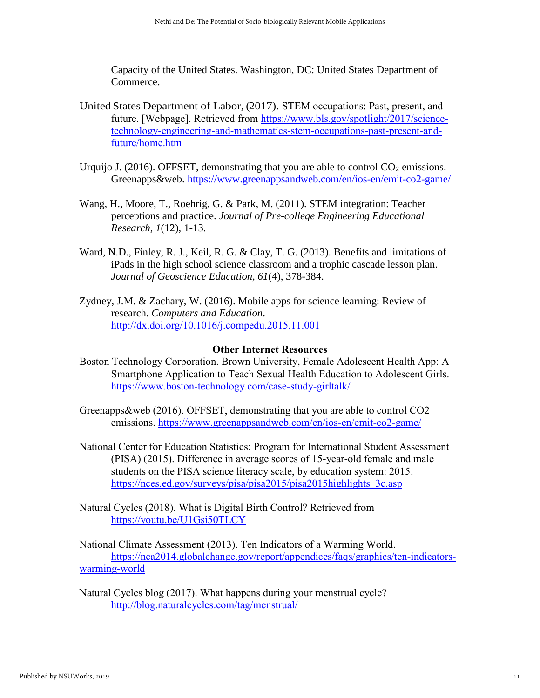Capacity of the United States. Washington, DC: United States Department of Commerce.

- United States Department of Labor, (2017). STEM occupations: Past, present, and future. [Webpage]. Retrieved from [https://www.bls.gov/spotlight/2017/science](https://www.bls.gov/spotlight/2017/science-technology-engineering-and-mathematics-stem-occupations-past-present-and-future/home.htm)[technology-engineering-and-mathematics-stem-occupations-past-present-and](https://www.bls.gov/spotlight/2017/science-technology-engineering-and-mathematics-stem-occupations-past-present-and-future/home.htm)[future/home.htm](https://www.bls.gov/spotlight/2017/science-technology-engineering-and-mathematics-stem-occupations-past-present-and-future/home.htm)
- Urquijo J. (2016). OFFSET, demonstrating that you are able to control  $CO<sub>2</sub>$  emissions. Greenapps&web. <https://www.greenappsandweb.com/en/ios-en/emit-co2-game/>
- Wang, H., Moore, T., Roehrig, G. & Park, M. (2011). STEM integration: Teacher perceptions and practice. *Journal of Pre-college Engineering Educational Research, 1*(12), 1-13.
- Ward, N.D., Finley, R. J., Keil, R. G. & Clay, T. G. (2013). Benefits and limitations of iPads in the high school science classroom and a trophic cascade lesson plan. *Journal of Geoscience Education, 61*(4), 378-384.
- Zydney, J.M. & Zachary, W. (2016). Mobile apps for science learning: Review of research. *Computers and Education*. <http://dx.doi.org/10.1016/j.compedu.2015.11.001>

#### **Other Internet Resources**

- Boston Technology Corporation. Brown University, Female Adolescent Health App: A Smartphone Application to Teach Sexual Health Education to Adolescent Girls. <https://www.boston-technology.com/case-study-girltalk/>
- Greenapps&web (2016). OFFSET, demonstrating that you are able to control CO2 emissions.<https://www.greenappsandweb.com/en/ios-en/emit-co2-game/>
- National Center for Education Statistics: Program for International Student Assessment (PISA) (2015). Difference in average scores of 15-year-old female and male students on the PISA science literacy scale, by education system: 2015. [https://nces.ed.gov/surveys/pisa/pisa2015/pisa2015highlights\\_3c.asp](https://nces.ed.gov/surveys/pisa/pisa2015/pisa2015highlights_3c.asp)
- Natural Cycles (2018). What is Digital Birth Control? Retrieved from <https://youtu.be/U1Gsi50TLCY>

National Climate Assessment (2013). Ten Indicators of a Warming World. [https://nca2014.globalchange.gov/report/appendices/faqs/graphics/ten-indicators](https://nca2014.globalchange.gov/report/appendices/faqs/graphics/ten-indicators-warming-world)[warming-world](https://nca2014.globalchange.gov/report/appendices/faqs/graphics/ten-indicators-warming-world)

Natural Cycles blog (2017). What happens during your menstrual cycle? <http://blog.naturalcycles.com/tag/menstrual/>